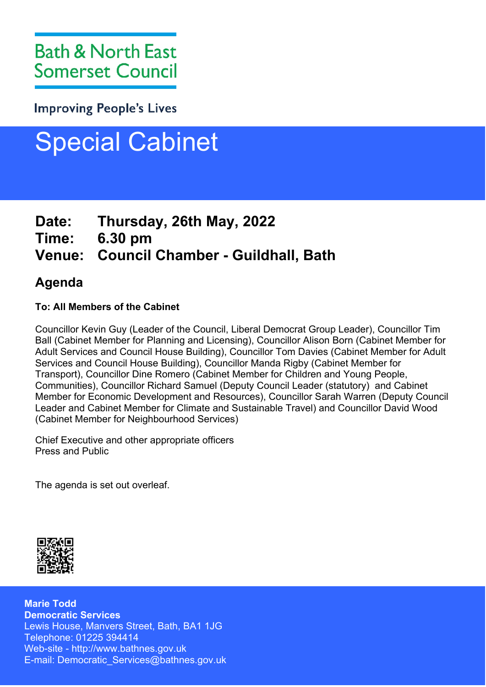**Improving People's Lives** 

# Special Cabinet

## **Date: Thursday, 26th May, 2022**

**Time: 6.30 pm**

# **Venue: Council Chamber - Guildhall, Bath**

## **Agenda**

## **To: All Members of the Cabinet**

Councillor Kevin Guy (Leader of the Council, Liberal Democrat Group Leader), Councillor Tim Ball (Cabinet Member for Planning and Licensing), Councillor Alison Born (Cabinet Member for Adult Services and Council House Building), Councillor Tom Davies (Cabinet Member for Adult Services and Council House Building), Councillor Manda Rigby (Cabinet Member for Transport), Councillor Dine Romero (Cabinet Member for Children and Young People, Communities), Councillor Richard Samuel (Deputy Council Leader (statutory) and Cabinet Member for Economic Development and Resources), Councillor Sarah Warren (Deputy Council Leader and Cabinet Member for Climate and Sustainable Travel) and Councillor David Wood (Cabinet Member for Neighbourhood Services)

Chief Executive and other appropriate officers Press and Public

The agenda is set out overleaf.



**Marie Todd Democratic Services** Lewis House, Manvers Street, Bath, BA1 1JG Telephone: 01225 394414 Web-site - http://www.bathnes.gov.uk E-mail: Democratic\_Services@bathnes.gov.uk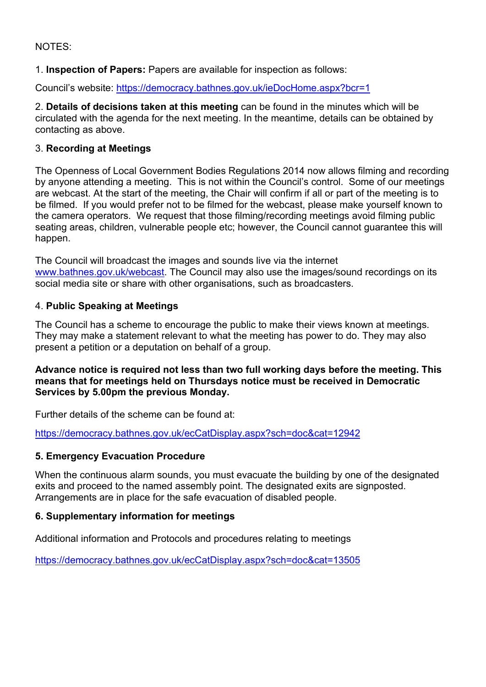#### NOTES:

1. **Inspection of Papers:** Papers are available for inspection as follows:

Council's website: <https://democracy.bathnes.gov.uk/ieDocHome.aspx?bcr=1>

2. **Details of decisions taken at this meeting** can be found in the minutes which will be circulated with the agenda for the next meeting. In the meantime, details can be obtained by contacting as above.

#### 3. **Recording at Meetings**

The Openness of Local Government Bodies Regulations 2014 now allows filming and recording by anyone attending a meeting. This is not within the Council's control. Some of our meetings are webcast. At the start of the meeting, the Chair will confirm if all or part of the meeting is to be filmed. If you would prefer not to be filmed for the webcast, please make yourself known to the camera operators. We request that those filming/recording meetings avoid filming public seating areas, children, vulnerable people etc; however, the Council cannot guarantee this will happen.

The Council will broadcast the images and sounds live via the internet [www.bathnes.gov.uk/webcast](http://www.bathnes.gov.uk/webcast). The Council may also use the images/sound recordings on its social media site or share with other organisations, such as broadcasters.

#### 4. **Public Speaking at Meetings**

The Council has a scheme to encourage the public to make their views known at meetings. They may make a statement relevant to what the meeting has power to do. They may also present a petition or a deputation on behalf of a group.

#### **Advance notice is required not less than two full working days before the meeting. This means that for meetings held on Thursdays notice must be received in Democratic Services by 5.00pm the previous Monday.**

Further details of the scheme can be found at:

<https://democracy.bathnes.gov.uk/ecCatDisplay.aspx?sch=doc&cat=12942>

#### **5. Emergency Evacuation Procedure**

When the continuous alarm sounds, you must evacuate the building by one of the designated exits and proceed to the named assembly point. The designated exits are signposted. Arrangements are in place for the safe evacuation of disabled people.

#### **6. Supplementary information for meetings**

Additional information and Protocols and procedures relating to meetings

<https://democracy.bathnes.gov.uk/ecCatDisplay.aspx?sch=doc&cat=13505>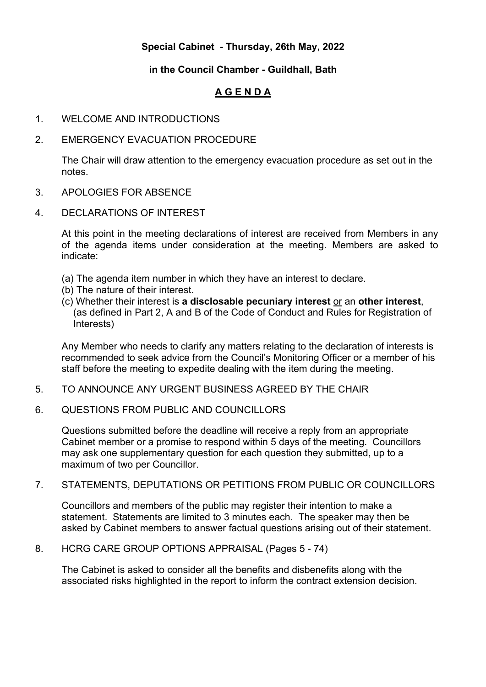#### **Special Cabinet - Thursday, 26th May, 2022**

#### **in the Council Chamber - Guildhall, Bath**

### **A G E N D A**

1. WELCOME AND INTRODUCTIONS

#### 2. EMERGENCY EVACUATION PROCEDURE

The Chair will draw attention to the emergency evacuation procedure as set out in the notes.

- 3. APOLOGIES FOR ABSENCE
- 4. DECLARATIONS OF INTEREST

At this point in the meeting declarations of interest are received from Members in any of the agenda items under consideration at the meeting. Members are asked to indicate:

- (a) The agenda item number in which they have an interest to declare.
- (b) The nature of their interest.
- (c) Whether their interest is **a disclosable pecuniary interest** or an **other interest**, (as defined in Part 2, A and B of the Code of Conduct and Rules for Registration of Interests)

Any Member who needs to clarify any matters relating to the declaration of interests is recommended to seek advice from the Council's Monitoring Officer or a member of his staff before the meeting to expedite dealing with the item during the meeting.

- 5. TO ANNOUNCE ANY URGENT BUSINESS AGREED BY THE CHAIR
- 6. QUESTIONS FROM PUBLIC AND COUNCILLORS

Questions submitted before the deadline will receive a reply from an appropriate Cabinet member or a promise to respond within 5 days of the meeting. Councillors may ask one supplementary question for each question they submitted, up to a maximum of two per Councillor.

#### 7. STATEMENTS, DEPUTATIONS OR PETITIONS FROM PUBLIC OR COUNCILLORS

Councillors and members of the public may register their intention to make a statement. Statements are limited to 3 minutes each. The speaker may then be asked by Cabinet members to answer factual questions arising out of their statement.

8. HCRG CARE GROUP OPTIONS APPRAISAL (Pages 5 - 74)

The Cabinet is asked to consider all the benefits and disbenefits along with the associated risks highlighted in the report to inform the contract extension decision.